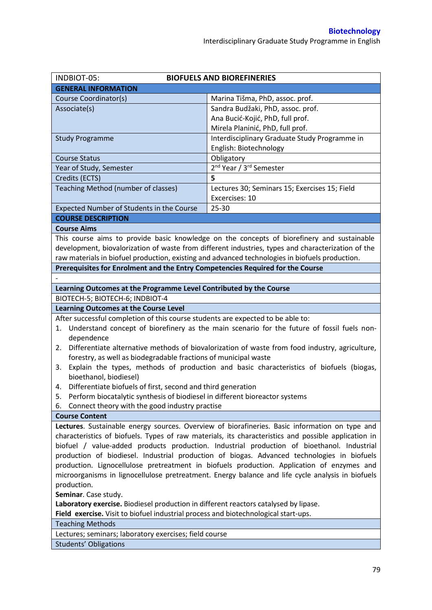| INDBIOT-05:                                                                                          | <b>BIOFUELS AND BIOREFINERIES</b>                                                                  |  |  |  |
|------------------------------------------------------------------------------------------------------|----------------------------------------------------------------------------------------------------|--|--|--|
| <b>GENERAL INFORMATION</b>                                                                           |                                                                                                    |  |  |  |
| Course Coordinator(s)                                                                                | Marina Tišma, PhD, assoc. prof.                                                                    |  |  |  |
| Associate(s)                                                                                         | Sandra Budžaki, PhD, assoc. prof.                                                                  |  |  |  |
|                                                                                                      | Ana Bucić-Kojić, PhD, full prof.                                                                   |  |  |  |
|                                                                                                      | Mirela Planinić, PhD, full prof.                                                                   |  |  |  |
| <b>Study Programme</b>                                                                               | Interdisciplinary Graduate Study Programme in                                                      |  |  |  |
|                                                                                                      | English: Biotechnology                                                                             |  |  |  |
| <b>Course Status</b>                                                                                 | Obligatory                                                                                         |  |  |  |
| Year of Study, Semester                                                                              | 2 <sup>nd</sup> Year / 3 <sup>rd</sup> Semester                                                    |  |  |  |
| Credits (ECTS)                                                                                       | 5                                                                                                  |  |  |  |
| Teaching Method (number of classes)                                                                  | Lectures 30; Seminars 15; Exercises 15; Field                                                      |  |  |  |
|                                                                                                      | Excercises: 10                                                                                     |  |  |  |
| Expected Number of Students in the Course                                                            | 25-30                                                                                              |  |  |  |
| <b>COURSE DESCRIPTION</b>                                                                            |                                                                                                    |  |  |  |
| <b>Course Aims</b>                                                                                   |                                                                                                    |  |  |  |
|                                                                                                      | This course aims to provide basic knowledge on the concepts of biorefinery and sustainable         |  |  |  |
|                                                                                                      | development, biovalorization of waste from different industries, types and characterization of the |  |  |  |
|                                                                                                      | raw materials in biofuel production, existing and advanced technologies in biofuels production.    |  |  |  |
| Prerequisites for Enrolment and the Entry Competencies Required for the Course                       |                                                                                                    |  |  |  |
|                                                                                                      |                                                                                                    |  |  |  |
| Learning Outcomes at the Programme Level Contributed by the Course                                   |                                                                                                    |  |  |  |
| BIOTECH-5; BIOTECH-6; INDBIOT-4                                                                      |                                                                                                    |  |  |  |
| <b>Learning Outcomes at the Course Level</b>                                                         |                                                                                                    |  |  |  |
| After successful completion of this course students are expected to be able to:                      |                                                                                                    |  |  |  |
| 1.                                                                                                   | Understand concept of biorefinery as the main scenario for the future of fossil fuels non-         |  |  |  |
| dependence                                                                                           |                                                                                                    |  |  |  |
| Differentiate alternative methods of biovalorization of waste from food industry, agriculture,<br>2. |                                                                                                    |  |  |  |
| forestry, as well as biodegradable fractions of municipal waste                                      |                                                                                                    |  |  |  |
| Explain the types, methods of production and basic characteristics of biofuels (biogas,<br>3.        |                                                                                                    |  |  |  |
| bioethanol, biodiesel)                                                                               |                                                                                                    |  |  |  |
| 4. Differentiate biofuels of first, second and third generation                                      |                                                                                                    |  |  |  |
| 5. Perform biocatalytic synthesis of biodiesel in different bioreactor systems                       |                                                                                                    |  |  |  |
| Connect theory with the good industry practise<br>6.                                                 |                                                                                                    |  |  |  |
| <b>Course Content</b>                                                                                |                                                                                                    |  |  |  |
|                                                                                                      | Lectures. Sustainable energy sources. Overview of biorafineries. Basic information on type and     |  |  |  |
| characteristics of biofuels. Types of raw materials, its characteristics and possible application in |                                                                                                    |  |  |  |
| biofuel / value-added products production. Industrial production of bioethanol. Industrial           |                                                                                                    |  |  |  |
| production of biodiesel. Industrial production of biogas. Advanced technologies in biofuels          |                                                                                                    |  |  |  |
| production. Lignocellulose pretreatment in biofuels production. Application of enzymes and           |                                                                                                    |  |  |  |
| microorganisms in lignocellulose pretreatment. Energy balance and life cycle analysis in biofuels    |                                                                                                    |  |  |  |
| production.                                                                                          |                                                                                                    |  |  |  |
| Seminar. Case study.                                                                                 |                                                                                                    |  |  |  |
| Laboratory exercise. Biodiesel production in different reactors catalysed by lipase.                 |                                                                                                    |  |  |  |
| Field exercise. Visit to biofuel industrial process and biotechnological start-ups.                  |                                                                                                    |  |  |  |
| <b>Teaching Methods</b>                                                                              |                                                                                                    |  |  |  |
| Lectures; seminars; laboratory exercises; field course                                               |                                                                                                    |  |  |  |
| <b>Students' Obligations</b>                                                                         |                                                                                                    |  |  |  |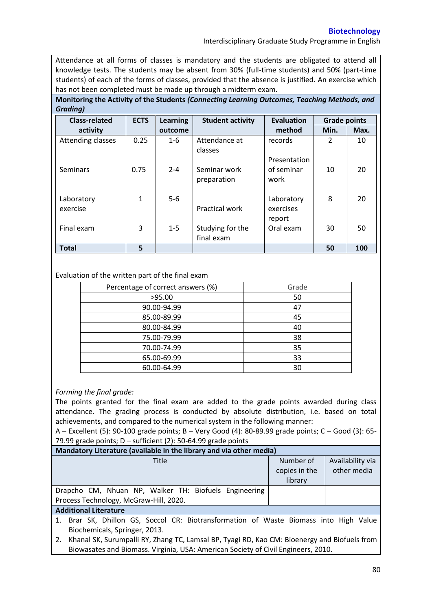## **Biotechnology**

Interdisciplinary Graduate Study Programme in English

Attendance at all forms of classes is mandatory and the students are obligated to attend all knowledge tests. The students may be absent from 30% (full-time students) and 50% (part-time students) of each of the forms of classes, provided that the absence is justified. An exercise which has not been completed must be made up through a midterm exam.

**Monitoring the Activity of the Students** *(Connecting Learning Outcomes, Teaching Methods, and Grading)*

| <b>Class-related</b>   | <b>ECTS</b> | <b>Learning</b> | <b>Student activity</b>        | Evaluation                         | <b>Grade points</b> |      |
|------------------------|-------------|-----------------|--------------------------------|------------------------------------|---------------------|------|
| activity               |             | outcome         |                                | method                             | Min.                | Max. |
| Attending classes      | 0.25        | $1 - 6$         | Attendance at<br>classes       | records                            | 2                   | 10   |
| <b>Seminars</b>        | 0.75        | $2 - 4$         | Seminar work<br>preparation    | Presentation<br>of seminar<br>work | 10                  | 20   |
| Laboratory<br>exercise | 1           | $5-6$           | <b>Practical work</b>          | Laboratory<br>exercises<br>report  | 8                   | 20   |
| Final exam             | 3           | $1 - 5$         | Studying for the<br>final exam | Oral exam                          | 30                  | 50   |
| <b>Total</b>           | 5           |                 |                                |                                    | 50                  | 100  |

## Evaluation of the written part of the final exam

| Percentage of correct answers (%) | Grade |
|-----------------------------------|-------|
| >95.00                            | 50    |
| 90.00-94.99                       | 47    |
| 85.00-89.99                       | 45    |
| 80.00-84.99                       | 40    |
| 75.00-79.99                       | 38    |
| 70.00-74.99                       | 35    |
| 65.00-69.99                       | 33    |
| 60.00-64.99                       | 30    |

## *Forming the final grade:*

The points granted for the final exam are added to the grade points awarded during class attendance. The grading process is conducted by absolute distribution, i.e. based on total achievements, and compared to the numerical system in the following manner:

A – Excellent (5): 90-100 grade points; B – Very Good (4): 80-89.99 grade points; C – Good (3): 65- 79.99 grade points;  $D$  – sufficient (2): 50-64.99 grade points

| Mandatory Literature (available in the library and via other media)                             |                            |                                 |  |  |  |
|-------------------------------------------------------------------------------------------------|----------------------------|---------------------------------|--|--|--|
| Title                                                                                           | Number of<br>copies in the | Availability via<br>other media |  |  |  |
|                                                                                                 | library                    |                                 |  |  |  |
|                                                                                                 |                            |                                 |  |  |  |
| Drapcho CM, Nhuan NP, Walker TH: Biofuels Engineering                                           |                            |                                 |  |  |  |
| Process Technology, McGraw-Hill, 2020.                                                          |                            |                                 |  |  |  |
| <b>Additional Literature</b>                                                                    |                            |                                 |  |  |  |
| 1. Brar SK, Dhillon GS, Soccol CR: Biotransformation of Waste Biomass into High Value           |                            |                                 |  |  |  |
| Biochemicals, Springer, 2013.                                                                   |                            |                                 |  |  |  |
| 2. Khanal SK, Surumpalli RY, Zhang TC, Lamsal BP, Tyagi RD, Kao CM: Bioenergy and Biofuels from |                            |                                 |  |  |  |

Biowasates and Biomass. Virginia, USA: American Society of Civil Engineers, 2010.